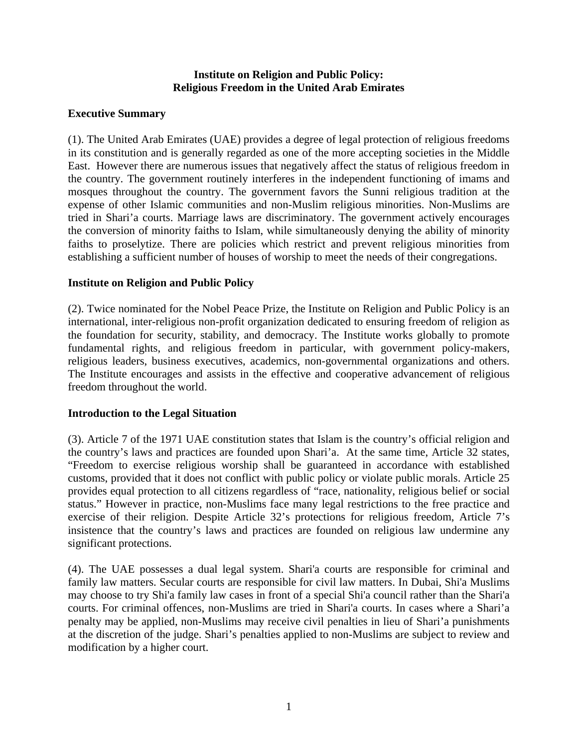#### **Institute on Religion and Public Policy: Religious Freedom in the United Arab Emirates**

### **Executive Summary**

(1). The United Arab Emirates (UAE) provides a degree of legal protection of religious freedoms in its constitution and is generally regarded as one of the more accepting societies in the Middle East. However there are numerous issues that negatively affect the status of religious freedom in the country. The government routinely interferes in the independent functioning of imams and mosques throughout the country. The government favors the Sunni religious tradition at the expense of other Islamic communities and non-Muslim religious minorities. Non-Muslims are tried in Shari'a courts. Marriage laws are discriminatory. The government actively encourages the conversion of minority faiths to Islam, while simultaneously denying the ability of minority faiths to proselytize. There are policies which restrict and prevent religious minorities from establishing a sufficient number of houses of worship to meet the needs of their congregations.

### **Institute on Religion and Public Policy**

(2). Twice nominated for the Nobel Peace Prize, the Institute on Religion and Public Policy is an international, inter-religious non-profit organization dedicated to ensuring freedom of religion as the foundation for security, stability, and democracy. The Institute works globally to promote fundamental rights, and religious freedom in particular, with government policy-makers, religious leaders, business executives, academics, non-governmental organizations and others. The Institute encourages and assists in the effective and cooperative advancement of religious freedom throughout the world.

## **Introduction to the Legal Situation**

(3). Article 7 of the 1971 UAE constitution states that Islam is the country's official religion and the country's laws and practices are founded upon Shari'a. At the same time, Article 32 states, "Freedom to exercise religious worship shall be guaranteed in accordance with established customs, provided that it does not conflict with public policy or violate public morals. Article 25 provides equal protection to all citizens regardless of "race, nationality, religious belief or social status." However in practice, non-Muslims face many legal restrictions to the free practice and exercise of their religion. Despite Article 32's protections for religious freedom, Article 7's insistence that the country's laws and practices are founded on religious law undermine any significant protections.

(4). The UAE possesses a dual legal system. Shari'a courts are responsible for criminal and family law matters. Secular courts are responsible for civil law matters. In Dubai, Shi'a Muslims may choose to try Shi'a family law cases in front of a special Shi'a council rather than the Shari'a courts. For criminal offences, non-Muslims are tried in Shari'a courts. In cases where a Shari'a penalty may be applied, non-Muslims may receive civil penalties in lieu of Shari'a punishments at the discretion of the judge. Shari's penalties applied to non-Muslims are subject to review and modification by a higher court.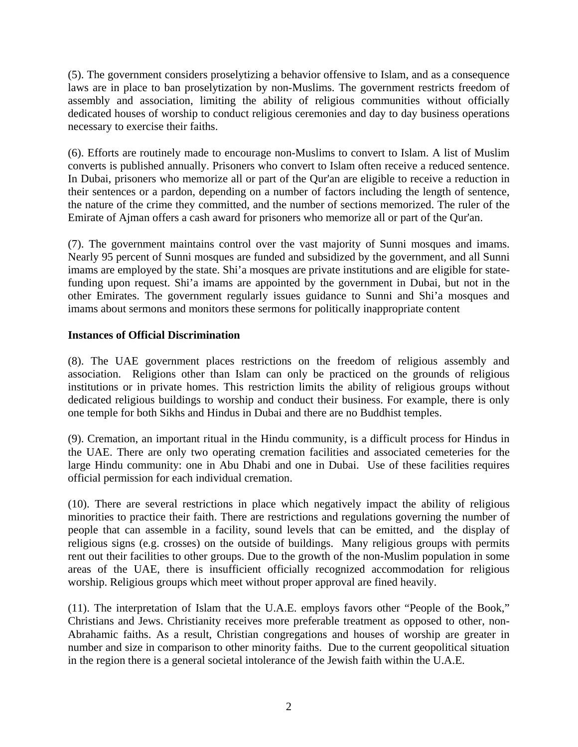(5). The government considers proselytizing a behavior offensive to Islam, and as a consequence laws are in place to ban proselytization by non-Muslims. The government restricts freedom of assembly and association, limiting the ability of religious communities without officially dedicated houses of worship to conduct religious ceremonies and day to day business operations necessary to exercise their faiths.

(6). Efforts are routinely made to encourage non-Muslims to convert to Islam. A list of Muslim converts is published annually. Prisoners who convert to Islam often receive a reduced sentence. In Dubai, prisoners who memorize all or part of the Qur'an are eligible to receive a reduction in their sentences or a pardon, depending on a number of factors including the length of sentence, the nature of the crime they committed, and the number of sections memorized. The ruler of the Emirate of Ajman offers a cash award for prisoners who memorize all or part of the Qur'an.

(7). The government maintains control over the vast majority of Sunni mosques and imams. Nearly 95 percent of Sunni mosques are funded and subsidized by the government, and all Sunni imams are employed by the state. Shi'a mosques are private institutions and are eligible for statefunding upon request. Shi'a imams are appointed by the government in Dubai, but not in the other Emirates. The government regularly issues guidance to Sunni and Shi'a mosques and imams about sermons and monitors these sermons for politically inappropriate content

### **Instances of Official Discrimination**

(8). The UAE government places restrictions on the freedom of religious assembly and association. Religions other than Islam can only be practiced on the grounds of religious institutions or in private homes. This restriction limits the ability of religious groups without dedicated religious buildings to worship and conduct their business. For example, there is only one temple for both Sikhs and Hindus in Dubai and there are no Buddhist temples.

(9). Cremation, an important ritual in the Hindu community, is a difficult process for Hindus in the UAE. There are only two operating cremation facilities and associated cemeteries for the large Hindu community: one in Abu Dhabi and one in Dubai. Use of these facilities requires official permission for each individual cremation.

(10). There are several restrictions in place which negatively impact the ability of religious minorities to practice their faith. There are restrictions and regulations governing the number of people that can assemble in a facility, sound levels that can be emitted, and the display of religious signs (e.g. crosses) on the outside of buildings. Many religious groups with permits rent out their facilities to other groups. Due to the growth of the non-Muslim population in some areas of the UAE, there is insufficient officially recognized accommodation for religious worship. Religious groups which meet without proper approval are fined heavily.

(11). The interpretation of Islam that the U.A.E. employs favors other "People of the Book," Christians and Jews. Christianity receives more preferable treatment as opposed to other, non-Abrahamic faiths. As a result, Christian congregations and houses of worship are greater in number and size in comparison to other minority faiths. Due to the current geopolitical situation in the region there is a general societal intolerance of the Jewish faith within the U.A.E.